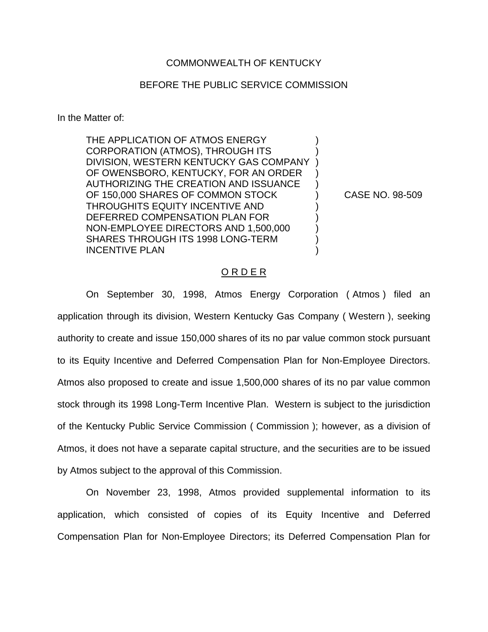## COMMONWEALTH OF KENTUCKY

## BEFORE THE PUBLIC SERVICE COMMISSION

In the Matter of:

THE APPLICATION OF ATMOS ENERGY CORPORATION (ATMOS), THROUGH ITS ) DIVISION, WESTERN KENTUCKY GAS COMPANY ) OF OWENSBORO, KENTUCKY, FOR AN ORDER AUTHORIZING THE CREATION AND ISSUANCE ) OF 150,000 SHARES OF COMMON STOCK (CASE NO. 98-509) THROUGHITS EQUITY INCENTIVE AND ) DEFERRED COMPENSATION PLAN FOR  $|$ NON-EMPLOYEE DIRECTORS AND 1,500,000 ) SHARES THROUGH ITS 1998 LONG-TERM INCENTIVE PLAN

## O R D E R

On September 30, 1998, Atmos Energy Corporation ( Atmos ) filed an application through its division, Western Kentucky Gas Company ( Western ), seeking authority to create and issue 150,000 shares of its no par value common stock pursuant to its Equity Incentive and Deferred Compensation Plan for Non-Employee Directors. Atmos also proposed to create and issue 1,500,000 shares of its no par value common stock through its 1998 Long-Term Incentive Plan. Western is subject to the jurisdiction of the Kentucky Public Service Commission ( Commission ); however, as a division of Atmos, it does not have a separate capital structure, and the securities are to be issued by Atmos subject to the approval of this Commission.

On November 23, 1998, Atmos provided supplemental information to its application, which consisted of copies of its Equity Incentive and Deferred Compensation Plan for Non-Employee Directors; its Deferred Compensation Plan for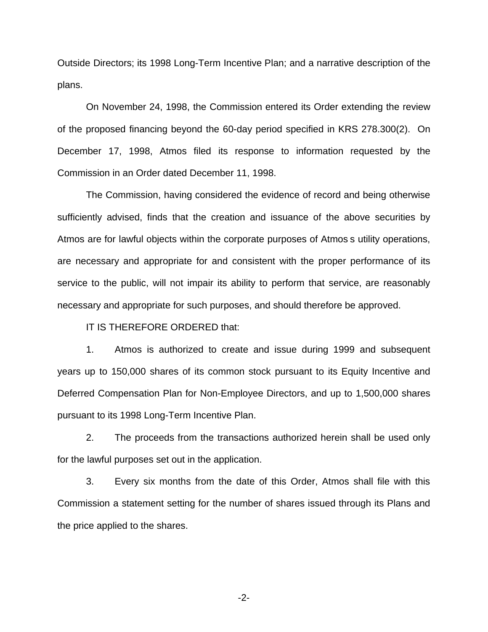Outside Directors; its 1998 Long-Term Incentive Plan; and a narrative description of the plans.

On November 24, 1998, the Commission entered its Order extending the review of the proposed financing beyond the 60-day period specified in KRS 278.300(2). On December 17, 1998, Atmos filed its response to information requested by the Commission in an Order dated December 11, 1998.

The Commission, having considered the evidence of record and being otherwise sufficiently advised, finds that the creation and issuance of the above securities by Atmos are for lawful objects within the corporate purposes of Atmos s utility operations, are necessary and appropriate for and consistent with the proper performance of its service to the public, will not impair its ability to perform that service, are reasonably necessary and appropriate for such purposes, and should therefore be approved.

IT IS THEREFORE ORDERED that:

1. Atmos is authorized to create and issue during 1999 and subsequent years up to 150,000 shares of its common stock pursuant to its Equity Incentive and Deferred Compensation Plan for Non-Employee Directors, and up to 1,500,000 shares pursuant to its 1998 Long-Term Incentive Plan.

2. The proceeds from the transactions authorized herein shall be used only for the lawful purposes set out in the application.

3. Every six months from the date of this Order, Atmos shall file with this Commission a statement setting for the number of shares issued through its Plans and the price applied to the shares.

-2-